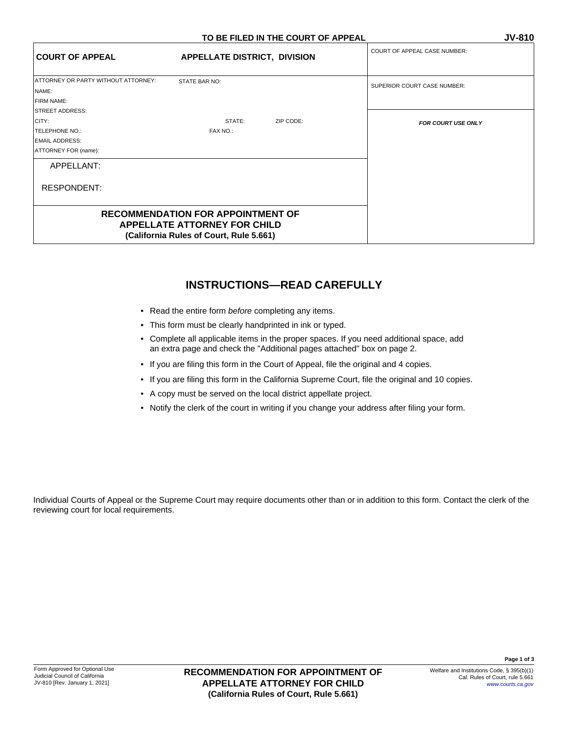|                                                                                             | TO BE TIELD IN THE COONT OF AFFEAL                                              | <u>J V - O I U</u>                  |  |
|---------------------------------------------------------------------------------------------|---------------------------------------------------------------------------------|-------------------------------------|--|
| <b>COURT OF APPEAL</b>                                                                      | <b>APPELLATE DISTRICT, DIVISION</b>                                             | <b>COURT OF APPEAL CASE NUMBER:</b> |  |
| ATTORNEY OR PARTY WITHOUT ATTORNEY:<br>NAME:<br>FIRM NAME:                                  | STATE BAR NO:                                                                   | SUPERIOR COURT CASE NUMBER:         |  |
| STREET ADDRESS:<br>CITY:<br>TELEPHONE NO.:<br><b>EMAIL ADDRESS:</b><br>ATTORNEY FOR (name): | STATE:<br>ZIP CODE:<br>FAX NO.:                                                 | <b>FOR COURT USE ONLY</b>           |  |
| APPELLANT:                                                                                  |                                                                                 |                                     |  |
| <b>RESPONDENT:</b>                                                                          |                                                                                 |                                     |  |
|                                                                                             | <b>RECOMMENDATION FOR APPOINTMENT OF</b><br><b>APPELLATE ATTORNEY FOR CHILD</b> |                                     |  |

**(California Rules of Court, Rule 5.661)**

## **INSTRUCTIONS—READ CAREFULLY**

- Read the entire form *before* completing any items.
- This form must be clearly handprinted in ink or typed.
- Complete all applicable items in the proper spaces. If you need additional space, add an extra page and check the "Additional pages attached" box on page 2.
- If you are filing this form in the Court of Appeal, file the original and 4 copies.
- If you are filing this form in the California Supreme Court, file the original and 10 copies.
- A copy must be served on the local district appellate project.
- Notify the clerk of the court in writing if you change your address after filing your form.

Individual Courts of Appeal or the Supreme Court may require documents other than or in addition to this form. Contact the clerk of the reviewing court for local requirements.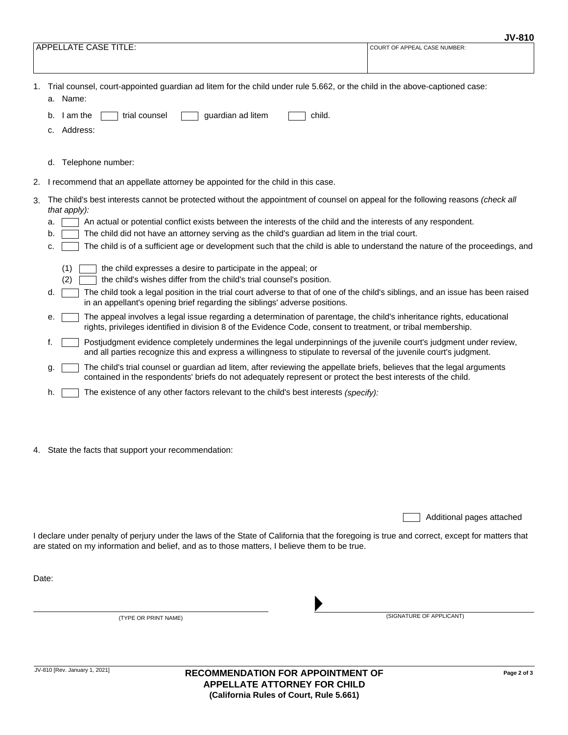|    | <b>APPELLATE CASE TITLE:</b>                                                                                                                                                                                                                                                                                                                                                                                                                                                                                                                                                                                                                                                                                                                                                                                                                                                                                                                                                                                                                                                                                                                          | COURT OF APPEAL CASE NUMBER: |
|----|-------------------------------------------------------------------------------------------------------------------------------------------------------------------------------------------------------------------------------------------------------------------------------------------------------------------------------------------------------------------------------------------------------------------------------------------------------------------------------------------------------------------------------------------------------------------------------------------------------------------------------------------------------------------------------------------------------------------------------------------------------------------------------------------------------------------------------------------------------------------------------------------------------------------------------------------------------------------------------------------------------------------------------------------------------------------------------------------------------------------------------------------------------|------------------------------|
| 1. | Trial counsel, court-appointed guardian ad litem for the child under rule 5.662, or the child in the above-captioned case:<br>a. Name:<br>I am the<br>trial counsel<br>guardian ad litem<br>child.<br>b.<br>c. Address:                                                                                                                                                                                                                                                                                                                                                                                                                                                                                                                                                                                                                                                                                                                                                                                                                                                                                                                               |                              |
|    | d. Telephone number:                                                                                                                                                                                                                                                                                                                                                                                                                                                                                                                                                                                                                                                                                                                                                                                                                                                                                                                                                                                                                                                                                                                                  |                              |
| 2. | I recommend that an appellate attorney be appointed for the child in this case.                                                                                                                                                                                                                                                                                                                                                                                                                                                                                                                                                                                                                                                                                                                                                                                                                                                                                                                                                                                                                                                                       |                              |
| 3. | The child's best interests cannot be protected without the appointment of counsel on appeal for the following reasons (check all<br>that apply):<br>An actual or potential conflict exists between the interests of the child and the interests of any respondent.<br>a.<br>The child did not have an attorney serving as the child's guardian ad litem in the trial court.<br>b.<br>The child is of a sufficient age or development such that the child is able to understand the nature of the proceedings, and<br>c.<br>(1)<br>the child expresses a desire to participate in the appeal; or<br>the child's wishes differ from the child's trial counsel's position.<br>(2)<br>The child took a legal position in the trial court adverse to that of one of the child's siblings, and an issue has been raised<br>d.<br>in an appellant's opening brief regarding the siblings' adverse positions.<br>The appeal involves a legal issue regarding a determination of parentage, the child's inheritance rights, educational<br>е.<br>rights, privileges identified in division 8 of the Evidence Code, consent to treatment, or tribal membership. |                              |
|    | Postjudgment evidence completely undermines the legal underpinnings of the juvenile court's judgment under review,<br>t.<br>and all parties recognize this and express a willingness to stipulate to reversal of the juvenile court's judgment.<br>The child's trial counsel or guardian ad litem, after reviewing the appellate briefs, believes that the legal arguments                                                                                                                                                                                                                                                                                                                                                                                                                                                                                                                                                                                                                                                                                                                                                                            |                              |
|    | g.<br>contained in the respondents' briefs do not adequately represent or protect the best interests of the child.                                                                                                                                                                                                                                                                                                                                                                                                                                                                                                                                                                                                                                                                                                                                                                                                                                                                                                                                                                                                                                    |                              |
|    | The existence of any other factors relevant to the child's best interests (specify):<br>h.                                                                                                                                                                                                                                                                                                                                                                                                                                                                                                                                                                                                                                                                                                                                                                                                                                                                                                                                                                                                                                                            |                              |
|    | 4. State the facts that support your recommendation:                                                                                                                                                                                                                                                                                                                                                                                                                                                                                                                                                                                                                                                                                                                                                                                                                                                                                                                                                                                                                                                                                                  |                              |

Additional pages attached

I declare under penalty of perjury under the laws of the State of California that the foregoing is true and correct, except for matters that are stated on my information and belief, and as to those matters, I believe them to be true.

Date:

(TYPE OR PRINT NAME) (SIGNATURE OF APPLICANT)